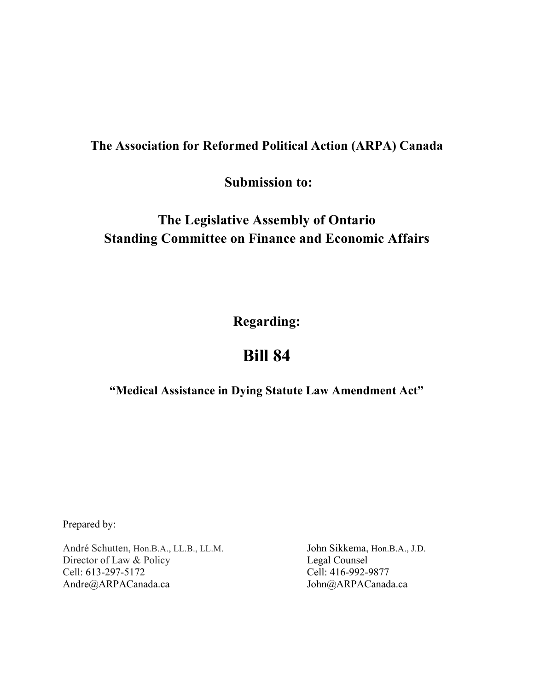## **The Association for Reformed Political Action (ARPA) Canada**

**Submission to:**

## **The Legislative Assembly of Ontario Standing Committee on Finance and Economic Affairs**

**Regarding:**

# **Bill 84**

**"Medical Assistance in Dying Statute Law Amendment Act"**

Prepared by:

André Schutten, Hon.B.A., LL.B., LL.M. Director of Law & Policy Cell: 613-297-5172 Andre@ARPACanada.ca

John Sikkema, Hon.B.A., J.D. Legal Counsel Cell: 416-992-9877 John@ARPACanada.ca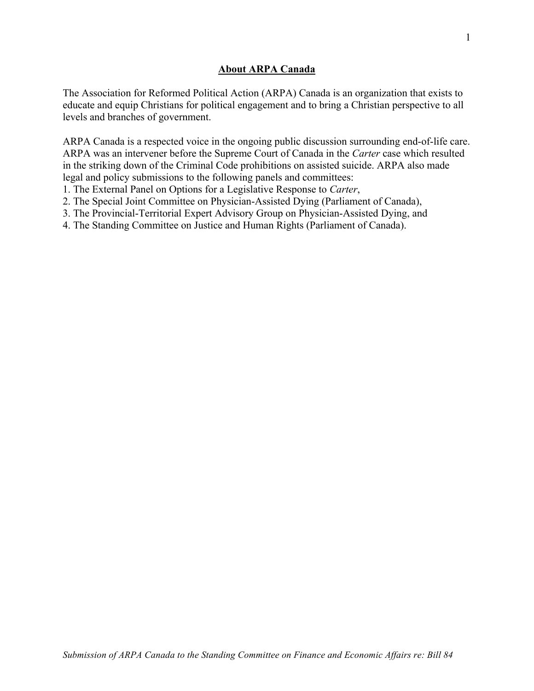## **About ARPA Canada**

The Association for Reformed Political Action (ARPA) Canada is an organization that exists to educate and equip Christians for political engagement and to bring a Christian perspective to all levels and branches of government.

ARPA Canada is a respected voice in the ongoing public discussion surrounding end-of-life care. ARPA was an intervener before the Supreme Court of Canada in the *Carter* case which resulted in the striking down of the Criminal Code prohibitions on assisted suicide. ARPA also made legal and policy submissions to the following panels and committees:

1. The External Panel on Options for a Legislative Response to *Carter*,

2. The Special Joint Committee on Physician-Assisted Dying (Parliament of Canada),

3. The Provincial-Territorial Expert Advisory Group on Physician-Assisted Dying, and

4. The Standing Committee on Justice and Human Rights (Parliament of Canada).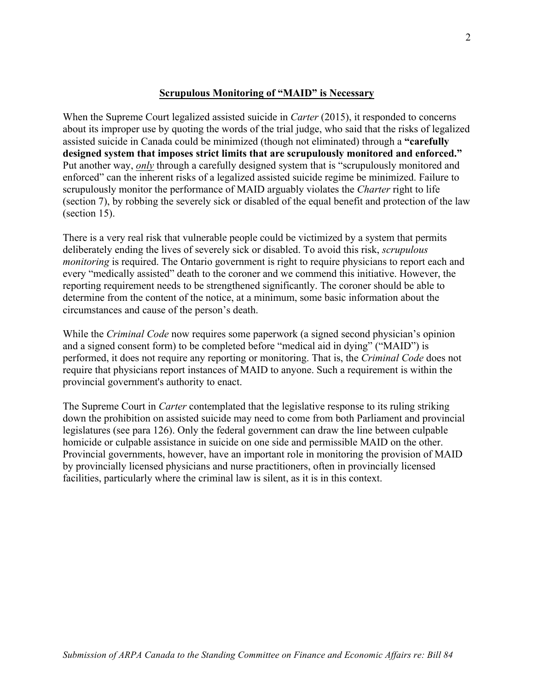### **Scrupulous Monitoring of "MAID" is Necessary**

When the Supreme Court legalized assisted suicide in *Carter* (2015), it responded to concerns about its improper use by quoting the words of the trial judge, who said that the risks of legalized assisted suicide in Canada could be minimized (though not eliminated) through a **"carefully designed system that imposes strict limits that are scrupulously monitored and enforced."** Put another way, *only* through a carefully designed system that is "scrupulously monitored and enforced" can the inherent risks of a legalized assisted suicide regime be minimized. Failure to scrupulously monitor the performance of MAID arguably violates the *Charter* right to life (section 7), by robbing the severely sick or disabled of the equal benefit and protection of the law (section 15).

There is a very real risk that vulnerable people could be victimized by a system that permits deliberately ending the lives of severely sick or disabled. To avoid this risk, *scrupulous monitoring* is required. The Ontario government is right to require physicians to report each and every "medically assisted" death to the coroner and we commend this initiative. However, the reporting requirement needs to be strengthened significantly. The coroner should be able to determine from the content of the notice, at a minimum, some basic information about the circumstances and cause of the person's death.

While the *Criminal Code* now requires some paperwork (a signed second physician's opinion and a signed consent form) to be completed before "medical aid in dying" ("MAID") is performed, it does not require any reporting or monitoring. That is, the *Criminal Code* does not require that physicians report instances of MAID to anyone. Such a requirement is within the provincial government's authority to enact.

The Supreme Court in *Carter* contemplated that the legislative response to its ruling striking down the prohibition on assisted suicide may need to come from both Parliament and provincial legislatures (see para 126). Only the federal government can draw the line between culpable homicide or culpable assistance in suicide on one side and permissible MAID on the other. Provincial governments, however, have an important role in monitoring the provision of MAID by provincially licensed physicians and nurse practitioners, often in provincially licensed facilities, particularly where the criminal law is silent, as it is in this context.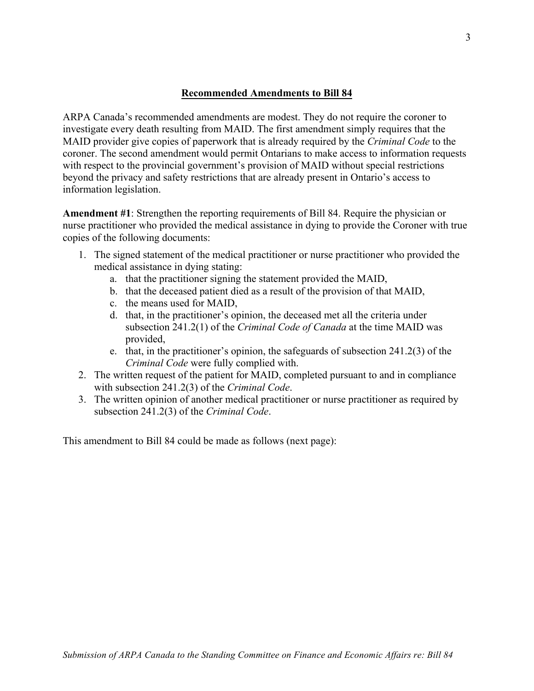## **Recommended Amendments to Bill 84**

ARPA Canada's recommended amendments are modest. They do not require the coroner to investigate every death resulting from MAID. The first amendment simply requires that the MAID provider give copies of paperwork that is already required by the *Criminal Code* to the coroner. The second amendment would permit Ontarians to make access to information requests with respect to the provincial government's provision of MAID without special restrictions beyond the privacy and safety restrictions that are already present in Ontario's access to information legislation.

**Amendment #1**: Strengthen the reporting requirements of Bill 84. Require the physician or nurse practitioner who provided the medical assistance in dying to provide the Coroner with true copies of the following documents:

- 1. The signed statement of the medical practitioner or nurse practitioner who provided the medical assistance in dying stating:
	- a. that the practitioner signing the statement provided the MAID,
	- b. that the deceased patient died as a result of the provision of that MAID,
	- c. the means used for MAID,
	- d. that, in the practitioner's opinion, the deceased met all the criteria under subsection 241.2(1) of the *Criminal Code of Canada* at the time MAID was provided,
	- e. that, in the practitioner's opinion, the safeguards of subsection 241.2(3) of the *Criminal Code* were fully complied with.
- 2. The written request of the patient for MAID, completed pursuant to and in compliance with subsection 241.2(3) of the *Criminal Code*.
- 3. The written opinion of another medical practitioner or nurse practitioner as required by subsection 241.2(3) of the *Criminal Code*.

This amendment to Bill 84 could be made as follows (next page):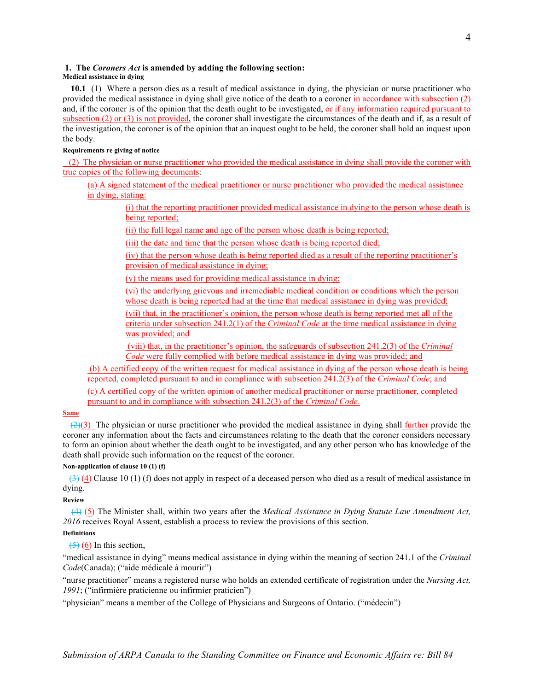#### **1. The** *Coroners Act* **is amended by adding the following section:**

#### **Medical assistance in dying**

 **10.1** (1) Where a person dies as a result of medical assistance in dying, the physician or nurse practitioner who provided the medical assistance in dying shall give notice of the death to a coroner in accordance with subsection (2) and, if the coroner is of the opinion that the death ought to be investigated, or if any information required pursuant to subsection (2) or (3) is not provided, the coroner shall investigate the circumstances of the death and if, as a result of the investigation, the coroner is of the opinion that an inquest ought to be held, the coroner shall hold an inquest upon the body.

#### **Requirements re giving of notice**

 (2) The physician or nurse practitioner who provided the medical assistance in dying shall provide the coroner with true copies of the following documents:

(a) A signed statement of the medical practitioner or nurse practitioner who provided the medical assistance in dying, stating:

(i) that the reporting practitioner provided medical assistance in dying to the person whose death is being reported;

(ii) the full legal name and age of the person whose death is being reported;

(iii) the date and time that the person whose death is being reported died;

(iv) that the person whose death is being reported died as a result of the reporting practitioner's provision of medical assistance in dying;

(v) the means used for providing medical assistance in dying;

(vi) the underlying grievous and irremediable medical condition or conditions which the person whose death is being reported had at the time that medical assistance in dying was provided;

(vii) that, in the practitioner's opinion, the person whose death is being reported met all of the criteria under subsection 241.2(1) of the *Criminal Code* at the time medical assistance in dying was provided; and

(viii) that, in the practitioner's opinion, the safeguards of subsection 241.2(3) of the *Criminal Code* were fully complied with before medical assistance in dying was provided; and

(b) A certified copy of the written request for medical assistance in dying of the person whose death is being reported, completed pursuant to and in compliance with subsection 241.2(3) of the *Criminal Code*; and

(c) A certified copy of the written opinion of another medical practitioner or nurse practitioner, completed pursuant to and in compliance with subsection 241.2(3) of the *Criminal Code*.

#### **Same**

 $(2)(3)$  The physician or nurse practitioner who provided the medical assistance in dying shall further provide the coroner any information about the facts and circumstances relating to the death that the coroner considers necessary to form an opinion about whether the death ought to be investigated, and any other person who has knowledge of the death shall provide such information on the request of the coroner.

#### **Non-application of clause 10 (1) (f)**

 $(3)$  (4) Clause 10 (1) (f) does not apply in respect of a deceased person who died as a result of medical assistance in dying.

#### **Review**

 (4) (5) The Minister shall, within two years after the *Medical Assistance in Dying Statute Law Amendment Act, 2016* receives Royal Assent, establish a process to review the provisions of this section. **Definitions**

## $(5)(6)$  In this section,

"medical assistance in dying" means medical assistance in dying within the meaning of section 241.1 of the *Criminal Code*(Canada); ("aide médicale à mourir")

"nurse practitioner" means a registered nurse who holds an extended certificate of registration under the *Nursing Act, 1991*; ("infirmière praticienne ou infirmier praticien")

"physician" means a member of the College of Physicians and Surgeons of Ontario. ("médecin")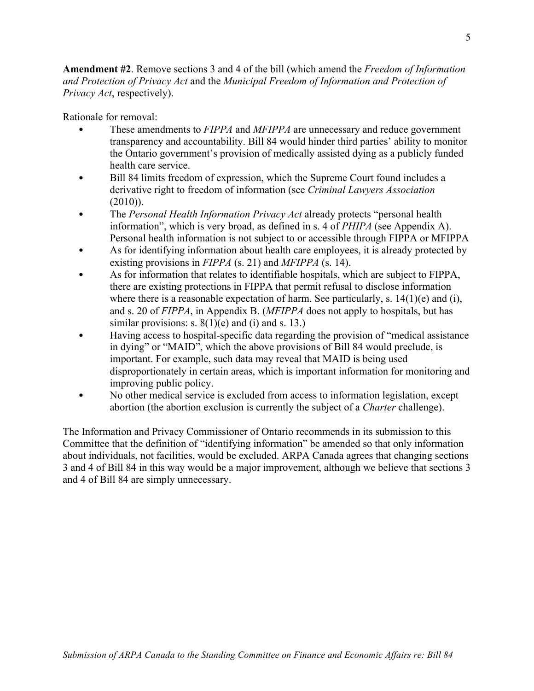**Amendment #2**. Remove sections 3 and 4 of the bill (which amend the *Freedom of Information and Protection of Privacy Act* and the *Municipal Freedom of Information and Protection of Privacy Act*, respectively).

Rationale for removal:

- These amendments to *FIPPA* and *MFIPPA* are unnecessary and reduce government transparency and accountability. Bill 84 would hinder third parties' ability to monitor the Ontario government's provision of medically assisted dying as a publicly funded health care service.
- Bill 84 limits freedom of expression, which the Supreme Court found includes a derivative right to freedom of information (see *Criminal Lawyers Association*  $(2010)$ ).
- The *Personal Health Information Privacy Act* already protects "personal health information", which is very broad, as defined in s. 4 of *PHIPA* (see Appendix A). Personal health information is not subject to or accessible through FIPPA or MFIPPA
- As for identifying information about health care employees, it is already protected by existing provisions in *FIPPA* (s. 21) and *MFIPPA* (s. 14).
- As for information that relates to identifiable hospitals, which are subject to FIPPA, there are existing protections in FIPPA that permit refusal to disclose information where there is a reasonable expectation of harm. See particularly, s.  $14(1)(e)$  and (i), and s. 20 of *FIPPA*, in Appendix B. (*MFIPPA* does not apply to hospitals, but has similar provisions: s.  $8(1)(e)$  and (i) and s. 13.)
- Having access to hospital-specific data regarding the provision of "medical assistance in dying" or "MAID", which the above provisions of Bill 84 would preclude, is important. For example, such data may reveal that MAID is being used disproportionately in certain areas, which is important information for monitoring and improving public policy.
- No other medical service is excluded from access to information legislation, except abortion (the abortion exclusion is currently the subject of a *Charter* challenge).

The Information and Privacy Commissioner of Ontario recommends in its submission to this Committee that the definition of "identifying information" be amended so that only information about individuals, not facilities, would be excluded. ARPA Canada agrees that changing sections 3 and 4 of Bill 84 in this way would be a major improvement, although we believe that sections 3 and 4 of Bill 84 are simply unnecessary.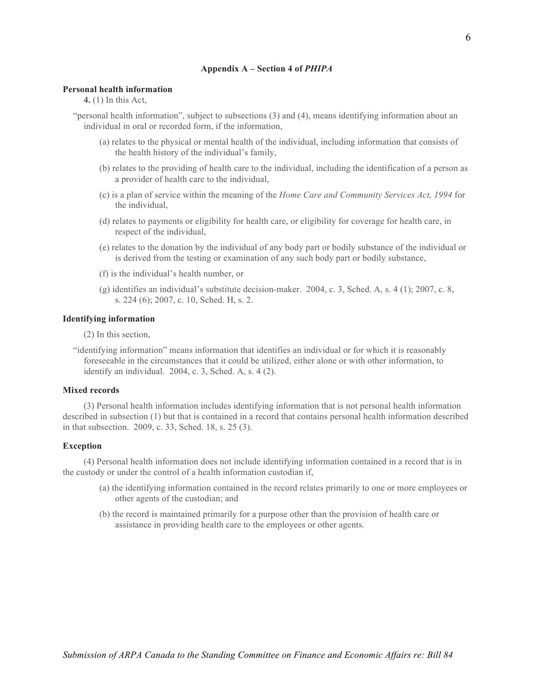#### **Appendix A – Section 4 of** *PHIPA*

#### **Personal health information**

**4.** (1) In this Act,

"personal health information", subject to subsections (3) and (4), means identifying information about an individual in oral or recorded form, if the information,

- (a) relates to the physical or mental health of the individual, including information that consists of the health history of the individual's family,
- (b) relates to the providing of health care to the individual, including the identification of a person as a provider of health care to the individual,
- (c) is a plan of service within the meaning of the *Home Care and Community Services Act, 1994* for the individual,
- (d) relates to payments or eligibility for health care, or eligibility for coverage for health care, in respect of the individual,
- (e) relates to the donation by the individual of any body part or bodily substance of the individual or is derived from the testing or examination of any such body part or bodily substance,
- (f) is the individual's health number, or
- (g) identifies an individual's substitute decision-maker. 2004, c. 3, Sched. A, s. 4 (1); 2007, c. 8, s. 224 (6); 2007, c. 10, Sched. H, s. 2.

#### **Identifying information**

(2) In this section,

"identifying information" means information that identifies an individual or for which it is reasonably foreseeable in the circumstances that it could be utilized, either alone or with other information, to identify an individual. 2004, c. 3, Sched. A, s. 4 (2).

#### **Mixed records**

(3) Personal health information includes identifying information that is not personal health information described in subsection (1) but that is contained in a record that contains personal health information described in that subsection. 2009, c. 33, Sched. 18, s. 25 (3).

#### **Exception**

(4) Personal health information does not include identifying information contained in a record that is in the custody or under the control of a health information custodian if,

- (a) the identifying information contained in the record relates primarily to one or more employees or other agents of the custodian; and
- (b) the record is maintained primarily for a purpose other than the provision of health care or assistance in providing health care to the employees or other agents.